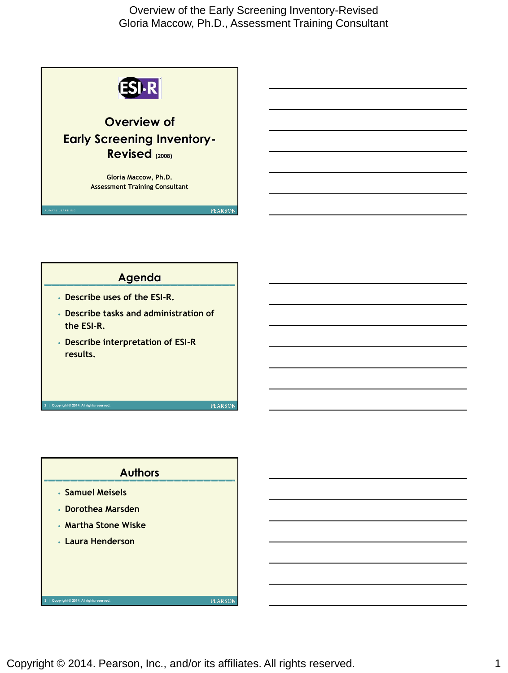



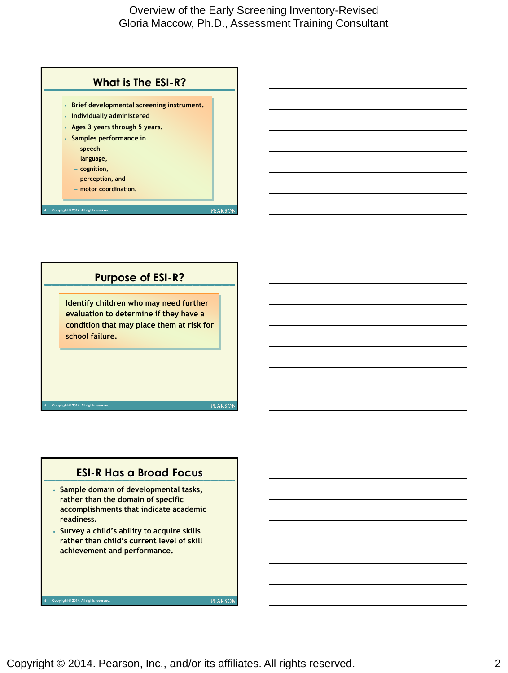



#### **ESI-R Has a Broad Focus**

- **Sample domain of developmental tasks, rather than the domain of specific accomplishments that indicate academic readiness.**
- **Survey a child's ability to acquire skills rather than child's current level of skill achievement and performance.**

**6 | Copyright © 2014. All rights reserved.**

Copyright © 2014. Pearson, Inc., and/or its affiliates. All rights reserved. 2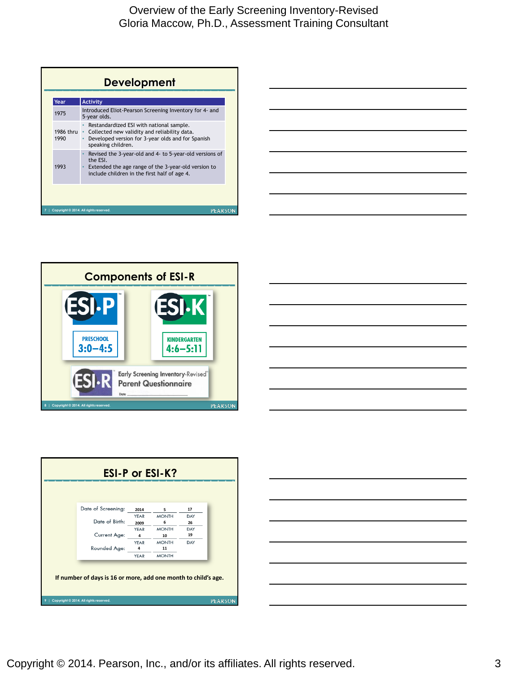| Year              | <b>Activity</b>                                                                                                                                                            |
|-------------------|----------------------------------------------------------------------------------------------------------------------------------------------------------------------------|
| 1975              | Introduced Eliot-Pearson Screening Inventory for 4- and<br>5-year olds.                                                                                                    |
| 1986 thru<br>1990 | Restandardized ESI with national sample.<br>Collected new validity and reliability data.<br>Developed version for 3-year olds and for Spanish<br>speaking children.        |
| 1993              | Revised the 3-year-old and 4- to 5-year-old versions of<br>the ESI.<br>Extended the age range of the 3-year-old version to<br>include children in the first half of age 4. |







| <b>ESI-P or ESI-K?</b>                                         |                                        |      |              |     |                |  |  |
|----------------------------------------------------------------|----------------------------------------|------|--------------|-----|----------------|--|--|
|                                                                |                                        |      |              |     |                |  |  |
|                                                                | Date of Screening:                     | 2014 | 5            | 17  |                |  |  |
|                                                                |                                        | YEAR | <b>MONTH</b> | DAY |                |  |  |
|                                                                | Date of Birth:                         | 2009 | 6            | 26  |                |  |  |
|                                                                |                                        | YEAR | <b>MONTH</b> | DAY |                |  |  |
|                                                                | Current Age:                           | 4    | 10           | 19  |                |  |  |
|                                                                |                                        | YEAR | <b>MONTH</b> | DAY |                |  |  |
|                                                                | Rounded Age:                           | 4    | 11           |     |                |  |  |
|                                                                |                                        | YEAR | <b>MONTH</b> |     |                |  |  |
| If number of days is 16 or more, add one month to child's age. |                                        |      |              |     |                |  |  |
|                                                                | Copyright @ 2014. All rights reserved. |      |              |     | <b>PEARSON</b> |  |  |

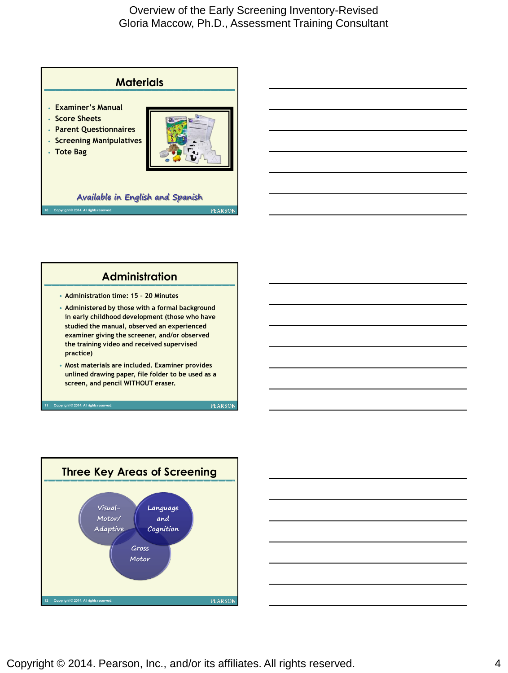





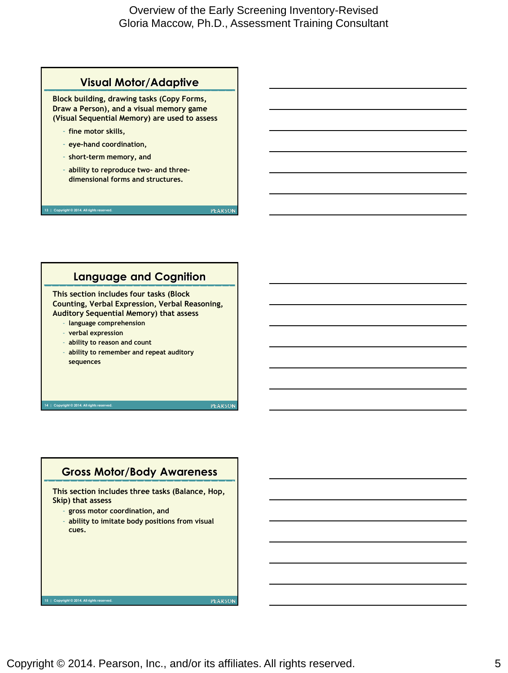

#### **Language and Cognition**

**This section includes four tasks (Block Counting, Verbal Expression, Verbal Reasoning, Auditory Sequential Memory) that assess** 

- **language comprehension**
- **verbal expression**
- **ability to reason and count**
- **ability to remember and repeat auditory sequences**

**14 | Copyright © 2014. All rights reserved.**

right © 2014. All rights re

**PEARSON** 

**PEARSON** 

#### **Gross Motor/Body Awareness**

**This section includes three tasks (Balance, Hop, Skip) that assess**

- **gross motor coordination, and**
- **ability to imitate body positions from visual cues.**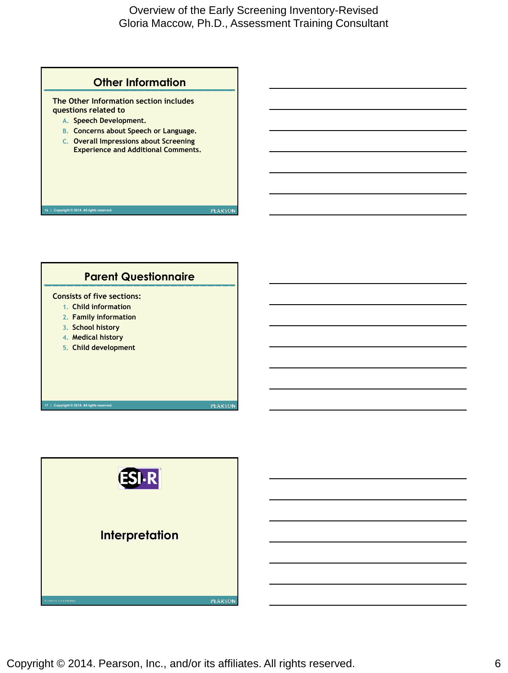

**The Other Information section includes questions related to** 

- **A. Speech Development.**
- **B. Concerns about Speech or Language.**
- **C. Overall Impressions about Screening Experience and Additional Comments.**

**16 | Copyright © 2014. All rights reserved.**



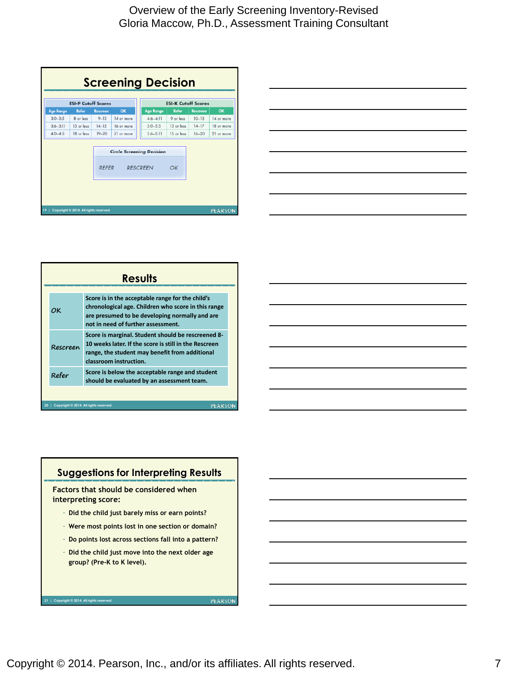| <b>Screening Decision</b>                        |                                        |                 |            |  |                            |            |                 |                |  |
|--------------------------------------------------|----------------------------------------|-----------------|------------|--|----------------------------|------------|-----------------|----------------|--|
| <b>ESI-P Cutoff Scores</b>                       |                                        |                 |            |  | <b>ESI-K Cutoff Scores</b> |            |                 |                |  |
| <b>Age Range</b>                                 | Refer                                  | <b>Rescreen</b> | OK         |  | <b>Age Range</b>           | Refer      | <b>Rescreen</b> | OK             |  |
| $3:0 - 3:5$                                      | 8 or less                              | $9 - 13$        | 14 or more |  | $4:6 - 4:11$               | 9 or less  | $10-13$         | 14 or more     |  |
| $3:6 - 3:11$                                     | 13 or less                             | $14 - 15$       | 16 or more |  | $5:0 - 5:5$                | 13 or less | $14-17$         | 18 or more     |  |
| $4:0 - 4:5$                                      | 18 or less                             | $19 - 20$       | 21 or more |  | $5:6 - 5:11$               | 15 or less | $16 - 20$       | 21 or more     |  |
| <b>Circle Screening Decision</b><br><b>RFFFR</b> |                                        |                 |            |  | <b>RESCREEN</b>            | OK         |                 |                |  |
|                                                  | Copyright @ 2014. All rights reserved. |                 |            |  |                            |            |                 | <b>PEARSON</b> |  |

|    | <b>Results</b>                                           |                                                                                                                                                                                                 |  |  |  |  |
|----|----------------------------------------------------------|-------------------------------------------------------------------------------------------------------------------------------------------------------------------------------------------------|--|--|--|--|
|    | ОK                                                       | Score is in the acceptable range for the child's<br>chronological age. Children who score in this range<br>are presumed to be developing normally and are<br>not in need of further assessment. |  |  |  |  |
|    | Rescreen                                                 | Score is marginal. Student should be rescreened 8-<br>10 weeks later. If the score is still in the Rescreen<br>range, the student may benefit from additional<br>classroom instruction.         |  |  |  |  |
|    | Refer                                                    | Score is below the acceptable range and student<br>should be evaluated by an assessment team.                                                                                                   |  |  |  |  |
|    |                                                          |                                                                                                                                                                                                 |  |  |  |  |
| 20 | <b>PEARSON</b><br>Copyright @ 2014. All rights reserved. |                                                                                                                                                                                                 |  |  |  |  |

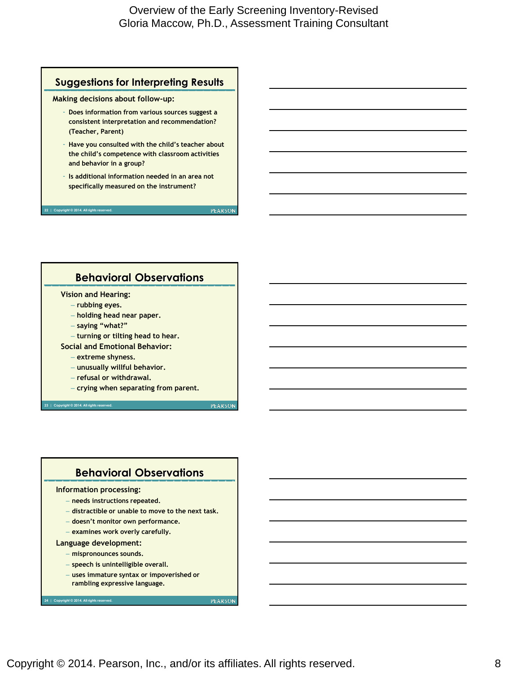## **Suggestions for Interpreting Results**

**Making decisions about follow-up:**

- **Does information from various sources suggest a consistent interpretation and recommendation? (Teacher, Parent)**
- **Have you consulted with the child's teacher about the child's competence with classroom activities and behavior in a group?**
- **Is additional information needed in an area not specifically measured on the instrument?**

 $\overline{\text{Copyright}} \otimes 2014.$  All rights rese

**PEARSON** 

#### **Behavioral Observations**

#### **Vision and Hearing:**

- **rubbing eyes.**
- **holding head near paper.**
- **saying "what?"**
- **turning or tilting head to hear.**
- **Social and Emotional Behavior:** 
	- **extreme shyness.**
	- **unusually willful behavior.**
	- **refusal or withdrawal.**
	- **crying when separating from parent.**

**23 | Copyright © 2014. All rights reserved.**

**PEARSON** 

#### **Behavioral Observations**

#### **Information processing:**

- **needs instructions repeated.**
- **distractible or unable to move to the next task.**
- **doesn't monitor own performance.**
- **examines work overly carefully.**

#### **Language development:**

**24 | Copyright © 2014. All rights reserved.**

- **mispronounces sounds.**
- **speech is unintelligible overall.**
- **uses immature syntax or impoverished or rambling expressive language.**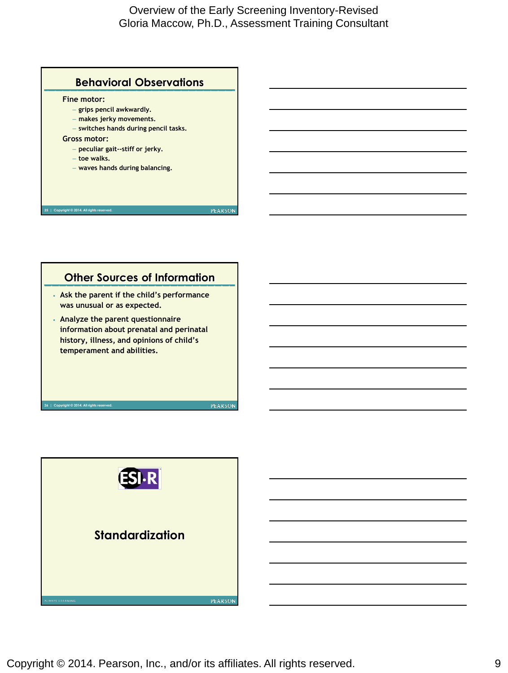

# **Other Sources of Information**

- **Ask the parent if the child's performance was unusual or as expected.**
- **Analyze the parent questionnaire information about prenatal and perinatal history, illness, and opinions of child's temperament and abilities.**

**26 | Copyright © 2014. All rights reserved.**

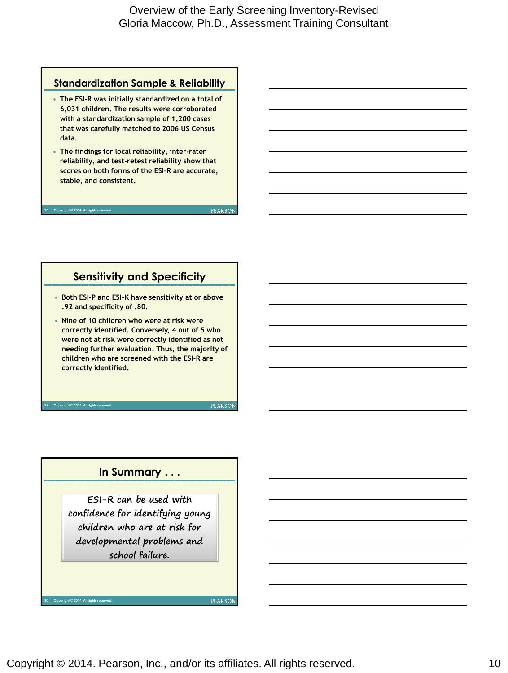#### **Standardization Sample & Reliability**

- **The ESI-R was initially standardized on a total of 6,031 children. The results were corroborated with a standardization sample of 1,200 cases that was carefully matched to 2006 US Census data.**
- **The findings for local reliability, inter-rater reliability, and test-retest reliability show that scores on both forms of the ESI-R are accurate, stable, and consistent.**

**28 | Copyright © 2014. All rights reserved.**

**2014. All rights reserved.** 

**PEARSON** 

#### **Sensitivity and Specificity**

- **Both ESI-P and ESI-K have sensitivity at or above .92 and specificity of .80.**
- **Nine of 10 children who were at risk were correctly identified. Conversely, 4 out of 5 who were not at risk were correctly identified as not needing further evaluation. Thus, the majority of children who are screened with the ESI-R are correctly identified.**